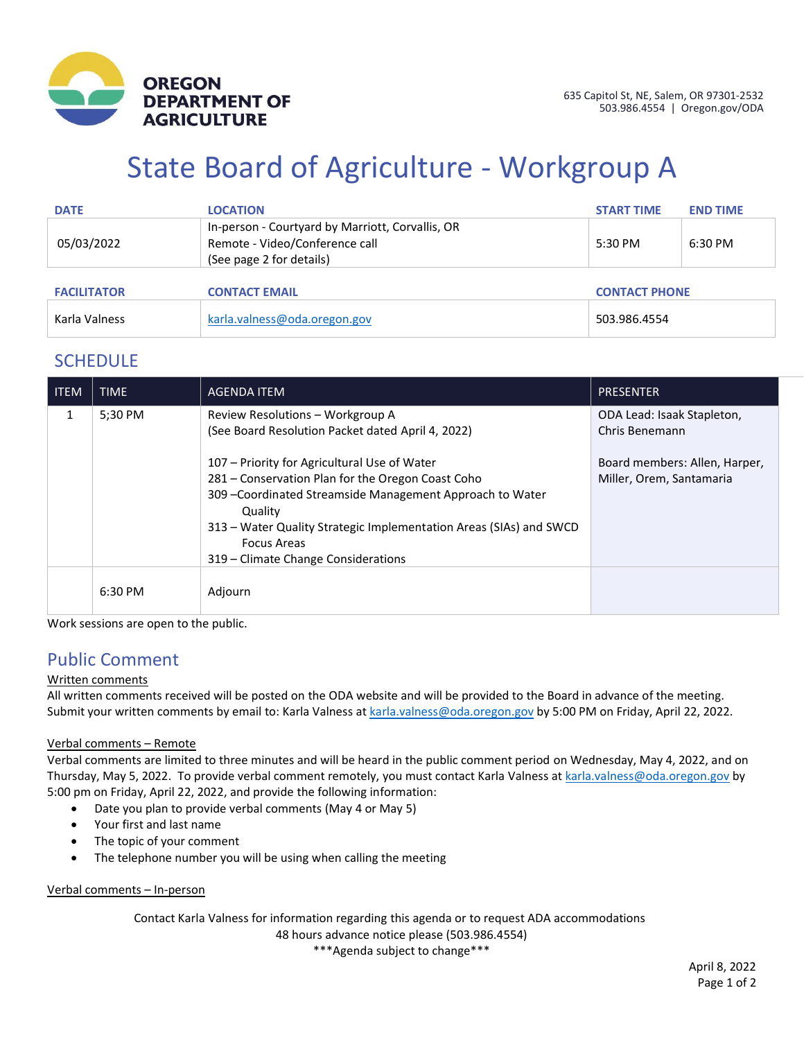

# State Board of Agriculture - Workgroup A

| <b>DATE</b>        | <b>LOCATION</b>                                                                                                | <b>START TIME</b> | <b>END TIME</b>      |  |
|--------------------|----------------------------------------------------------------------------------------------------------------|-------------------|----------------------|--|
| 05/03/2022         | In-person - Courtyard by Marriott, Corvallis, OR<br>Remote - Video/Conference call<br>(See page 2 for details) | 5:30 PM           | 6:30 PM              |  |
| <b>FACILITATOR</b> | <b>CONTACT EMAIL</b>                                                                                           |                   | <b>CONTACT PHONE</b> |  |
| Karla Valness      | karla.valness@oda.oregon.gov                                                                                   | 503.986.4554      |                      |  |

## **SCHEDULE**

| <b>ITEM</b> | <b>TIME</b> | <b>AGENDA ITEM</b>                                                                                                                                                                                                                                                                                           | <b>PRESENTER</b>                                          |
|-------------|-------------|--------------------------------------------------------------------------------------------------------------------------------------------------------------------------------------------------------------------------------------------------------------------------------------------------------------|-----------------------------------------------------------|
| 1           | 5:30 PM     | Review Resolutions - Workgroup A<br>(See Board Resolution Packet dated April 4, 2022)                                                                                                                                                                                                                        | ODA Lead: Isaak Stapleton,<br>Chris Benemann              |
|             |             | 107 – Priority for Agricultural Use of Water<br>281 - Conservation Plan for the Oregon Coast Coho<br>309 - Coordinated Streamside Management Approach to Water<br>Quality<br>313 - Water Quality Strategic Implementation Areas (SIAs) and SWCD<br><b>Focus Areas</b><br>319 – Climate Change Considerations | Board members: Allen, Harper,<br>Miller, Orem, Santamaria |
|             | 6:30 PM     | Adjourn                                                                                                                                                                                                                                                                                                      |                                                           |

Work sessions are open to the public.

## Public Comment

#### Written comments

All written comments received will be posted on the ODA website and will be provided to the Board in advance of the meeting. Submit your written comments by email to: Karla Valness a[t karla.valness@oda.oregon.gov](mailto:karla.valness@oda.oregon.gov) by 5:00 PM on Friday, April 22, 2022.

#### Verbal comments – Remote

Verbal comments are limited to three minutes and will be heard in the public comment period on Wednesday, May 4, 2022, and on Thursday, May 5, 2022. To provide verbal comment remotely, you must contact Karla Valness a[t karla.valness@oda.oregon.gov](mailto:karla.valness@oda.oregon.gov) by 5:00 pm on Friday, April 22, 2022, and provide the following information:

- Date you plan to provide verbal comments (May 4 or May 5)
- Your first and last name
- The topic of your comment
- The telephone number you will be using when calling the meeting

#### Verbal comments – In-person

Contact Karla Valness for information regarding this agenda or to request ADA accommodations 48 hours advance notice please (503.986.4554)

\*\*\*Agenda subject to change\*\*\*